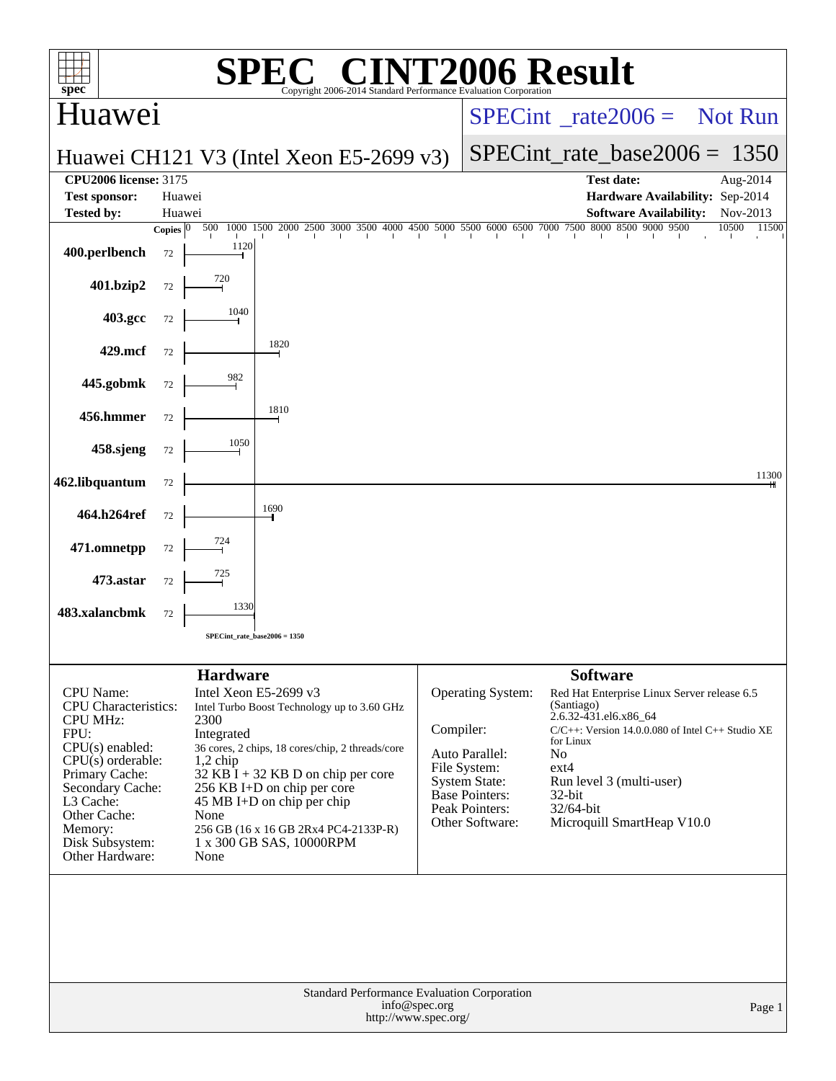|                                                                                                                                                                                                                                            |                       |                                                                     | $\left( \mathbb{R}\right)$                                                                                                                                                                                                                                                                        |                                                 |                                                                                                                                    | <b>006 Result</b>                                                                                                                                                                                                                                                                             |                                 |  |                |
|--------------------------------------------------------------------------------------------------------------------------------------------------------------------------------------------------------------------------------------------|-----------------------|---------------------------------------------------------------------|---------------------------------------------------------------------------------------------------------------------------------------------------------------------------------------------------------------------------------------------------------------------------------------------------|-------------------------------------------------|------------------------------------------------------------------------------------------------------------------------------------|-----------------------------------------------------------------------------------------------------------------------------------------------------------------------------------------------------------------------------------------------------------------------------------------------|---------------------------------|--|----------------|
| spec <sup>®</sup>                                                                                                                                                                                                                          |                       |                                                                     | Copyright 2006-2014 Standard Performance Evaluation Corporation                                                                                                                                                                                                                                   |                                                 |                                                                                                                                    |                                                                                                                                                                                                                                                                                               |                                 |  |                |
| Huawei                                                                                                                                                                                                                                     |                       |                                                                     |                                                                                                                                                                                                                                                                                                   | $SPECint^{\circ}$ <sub>rate2006</sub> = Not Run |                                                                                                                                    |                                                                                                                                                                                                                                                                                               |                                 |  |                |
|                                                                                                                                                                                                                                            |                       |                                                                     | Huawei CH121 V3 (Intel Xeon E5-2699 v3)                                                                                                                                                                                                                                                           | $SPECint_rate_base2006 = 1350$                  |                                                                                                                                    |                                                                                                                                                                                                                                                                                               |                                 |  |                |
| <b>CPU2006</b> license: 3175<br><b>Test sponsor:</b>                                                                                                                                                                                       |                       | Huawei                                                              |                                                                                                                                                                                                                                                                                                   |                                                 |                                                                                                                                    | <b>Test date:</b>                                                                                                                                                                                                                                                                             | Hardware Availability: Sep-2014 |  | Aug-2014       |
| <b>Tested by:</b>                                                                                                                                                                                                                          |                       | Huawei                                                              |                                                                                                                                                                                                                                                                                                   |                                                 |                                                                                                                                    |                                                                                                                                                                                                                                                                                               | <b>Software Availability:</b>   |  | Nov-2013       |
|                                                                                                                                                                                                                                            | Copies $\overline{0}$ | 500                                                                 | 1000 1500 2000 2500 3000 3500 4000 4500 5000 5500 6000 6500 7000 7500 8000 8500 9000 9500                                                                                                                                                                                                         |                                                 |                                                                                                                                    |                                                                                                                                                                                                                                                                                               |                                 |  | 10500<br>11500 |
| 400.perlbench                                                                                                                                                                                                                              | 72                    | 1120                                                                |                                                                                                                                                                                                                                                                                                   |                                                 |                                                                                                                                    |                                                                                                                                                                                                                                                                                               |                                 |  |                |
| 401.bzip2                                                                                                                                                                                                                                  | 72                    | 720                                                                 |                                                                                                                                                                                                                                                                                                   |                                                 |                                                                                                                                    |                                                                                                                                                                                                                                                                                               |                                 |  |                |
| 403.gcc                                                                                                                                                                                                                                    | 72                    | 1040                                                                |                                                                                                                                                                                                                                                                                                   |                                                 |                                                                                                                                    |                                                                                                                                                                                                                                                                                               |                                 |  |                |
| 429.mcf                                                                                                                                                                                                                                    | 72                    |                                                                     | 1820                                                                                                                                                                                                                                                                                              |                                                 |                                                                                                                                    |                                                                                                                                                                                                                                                                                               |                                 |  |                |
| 445.gobmk                                                                                                                                                                                                                                  | 72                    | 982                                                                 |                                                                                                                                                                                                                                                                                                   |                                                 |                                                                                                                                    |                                                                                                                                                                                                                                                                                               |                                 |  |                |
| 456.hmmer                                                                                                                                                                                                                                  | 72                    |                                                                     | 1810                                                                                                                                                                                                                                                                                              |                                                 |                                                                                                                                    |                                                                                                                                                                                                                                                                                               |                                 |  |                |
| 458.sjeng                                                                                                                                                                                                                                  | 72                    | 1050                                                                |                                                                                                                                                                                                                                                                                                   |                                                 |                                                                                                                                    |                                                                                                                                                                                                                                                                                               |                                 |  |                |
| 462.libquantum                                                                                                                                                                                                                             | 72                    |                                                                     |                                                                                                                                                                                                                                                                                                   |                                                 |                                                                                                                                    |                                                                                                                                                                                                                                                                                               |                                 |  | 11300          |
| 464.h264ref                                                                                                                                                                                                                                | 72                    |                                                                     | 1690                                                                                                                                                                                                                                                                                              |                                                 |                                                                                                                                    |                                                                                                                                                                                                                                                                                               |                                 |  |                |
| 471.omnetpp                                                                                                                                                                                                                                | 72                    | 724                                                                 |                                                                                                                                                                                                                                                                                                   |                                                 |                                                                                                                                    |                                                                                                                                                                                                                                                                                               |                                 |  |                |
| 473.astar                                                                                                                                                                                                                                  | 72                    | 725                                                                 |                                                                                                                                                                                                                                                                                                   |                                                 |                                                                                                                                    |                                                                                                                                                                                                                                                                                               |                                 |  |                |
| 483.xalancbmk                                                                                                                                                                                                                              | 72                    | 1330                                                                |                                                                                                                                                                                                                                                                                                   |                                                 |                                                                                                                                    |                                                                                                                                                                                                                                                                                               |                                 |  |                |
|                                                                                                                                                                                                                                            |                       |                                                                     | SPECint rate base $2006 = 1350$                                                                                                                                                                                                                                                                   |                                                 |                                                                                                                                    |                                                                                                                                                                                                                                                                                               |                                 |  |                |
|                                                                                                                                                                                                                                            |                       |                                                                     |                                                                                                                                                                                                                                                                                                   |                                                 |                                                                                                                                    |                                                                                                                                                                                                                                                                                               |                                 |  |                |
| <b>CPU</b> Name:<br><b>CPU</b> Characteristics:<br><b>CPU MHz:</b><br>FPU:<br>$CPU(s)$ enabled:<br>$CPU(s)$ orderable:<br>Primary Cache:<br>Secondary Cache:<br>L3 Cache:<br>Other Cache:<br>Memory:<br>Disk Subsystem:<br>Other Hardware: |                       | <b>Hardware</b><br>2300<br>Integrated<br>$1,2$ chip<br>None<br>None | Intel Xeon E5-2699 v3<br>Intel Turbo Boost Technology up to 3.60 GHz<br>36 cores, 2 chips, 18 cores/chip, 2 threads/core<br>$32$ KB I + 32 KB D on chip per core<br>256 KB I+D on chip per core<br>45 MB I+D on chip per chip<br>256 GB (16 x 16 GB 2Rx4 PC4-2133P-R)<br>1 x 300 GB SAS, 10000RPM | Compiler:                                       | Operating System:<br>Auto Parallel:<br>File System:<br><b>System State:</b><br>Base Pointers:<br>Peak Pointers:<br>Other Software: | <b>Software</b><br>Red Hat Enterprise Linux Server release 6.5<br>(Santiago)<br>2.6.32-431.el6.x86 64<br>$C/C++$ : Version 14.0.0.080 of Intel $C++$ Studio XE<br>for Linux<br>N <sub>o</sub><br>$ext{4}$<br>Run level 3 (multi-user)<br>$32$ -bit<br>32/64-bit<br>Microquill SmartHeap V10.0 |                                 |  |                |
|                                                                                                                                                                                                                                            |                       |                                                                     | Standard Performance Evaluation Corporation<br>http://www.spec.org/                                                                                                                                                                                                                               | info@spec.org                                   |                                                                                                                                    |                                                                                                                                                                                                                                                                                               |                                 |  | Page 1         |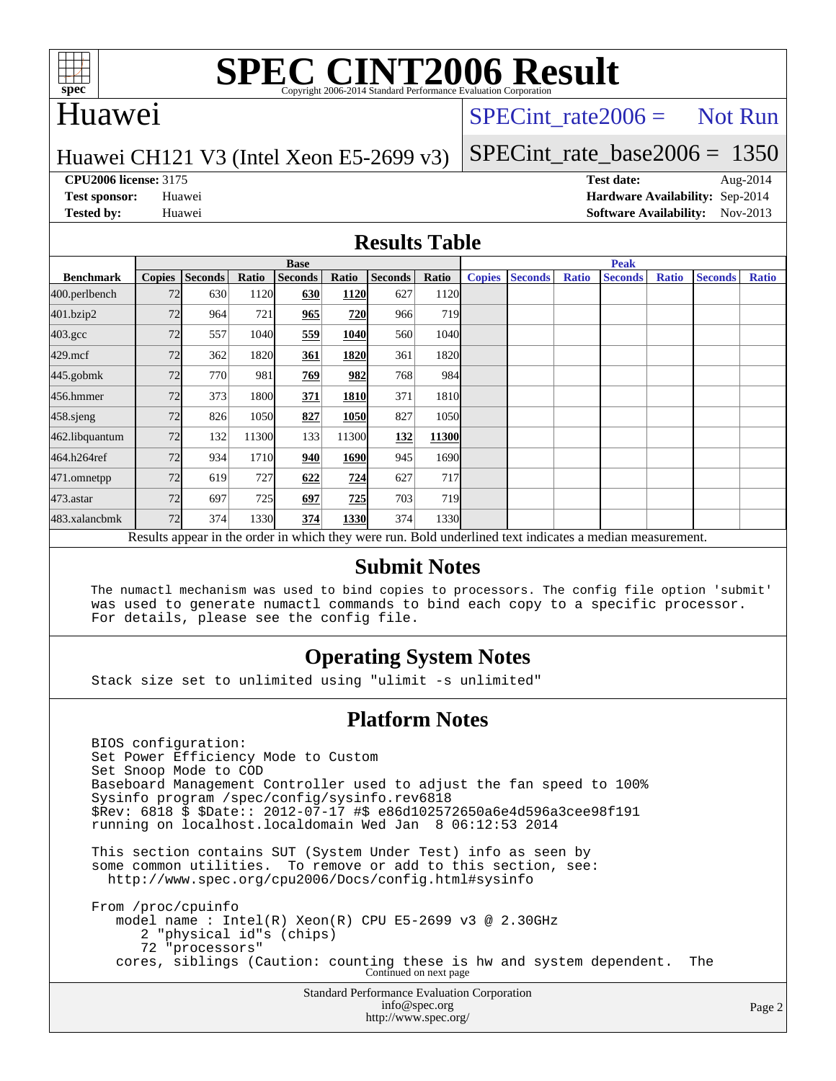

# **[SPEC CINT2006 Result](http://www.spec.org/auto/cpu2006/Docs/result-fields.html#SPECCINT2006Result)**

## Huawei

## SPECint rate  $2006 =$  Not Run

### Huawei CH121 V3 (Intel Xeon E5-2699 v3)

[SPECint\\_rate\\_base2006 =](http://www.spec.org/auto/cpu2006/Docs/result-fields.html#SPECintratebase2006) 1350

**[CPU2006 license:](http://www.spec.org/auto/cpu2006/Docs/result-fields.html#CPU2006license)** 3175 **[Test date:](http://www.spec.org/auto/cpu2006/Docs/result-fields.html#Testdate)** Aug-2014 **[Test sponsor:](http://www.spec.org/auto/cpu2006/Docs/result-fields.html#Testsponsor)** Huawei **[Hardware Availability:](http://www.spec.org/auto/cpu2006/Docs/result-fields.html#HardwareAvailability)** Sep-2014 **[Tested by:](http://www.spec.org/auto/cpu2006/Docs/result-fields.html#Testedby)** Huawei **[Software Availability:](http://www.spec.org/auto/cpu2006/Docs/result-fields.html#SoftwareAvailability)** Nov-2013

### **[Results Table](http://www.spec.org/auto/cpu2006/Docs/result-fields.html#ResultsTable)**

|                                                                                                          | <b>Base</b>   |                |       |                |       |                |            | <b>Peak</b>   |                |              |                |              |                |              |
|----------------------------------------------------------------------------------------------------------|---------------|----------------|-------|----------------|-------|----------------|------------|---------------|----------------|--------------|----------------|--------------|----------------|--------------|
| <b>Benchmark</b>                                                                                         | <b>Copies</b> | <b>Seconds</b> | Ratio | <b>Seconds</b> | Ratio | <b>Seconds</b> | Ratio      | <b>Copies</b> | <b>Seconds</b> | <b>Ratio</b> | <b>Seconds</b> | <b>Ratio</b> | <b>Seconds</b> | <b>Ratio</b> |
| 400.perlbench                                                                                            | 72            | 630            | 1120  | 630            | 1120  | 627            | 1120       |               |                |              |                |              |                |              |
| 401.bzip2                                                                                                | 72            | 964            | 721   | 965            | 720   | 966            | <b>719</b> |               |                |              |                |              |                |              |
| $403.\mathrm{gcc}$                                                                                       | 72            | 557            | 1040  | 559            | 1040  | 560            | 1040       |               |                |              |                |              |                |              |
| $429$ .mcf                                                                                               | 72            | 362            | 1820  | 361            | 1820  | 361            | 1820       |               |                |              |                |              |                |              |
| $445$ .gobm $k$                                                                                          | 72            | 770            | 981   | 769            | 982   | 768            | 984        |               |                |              |                |              |                |              |
| 456.hmmer                                                                                                | 72            | 373            | 1800  | 371            | 1810  | 371            | 1810       |               |                |              |                |              |                |              |
| $458$ .sjeng                                                                                             | 72            | 826            | 1050  | 827            | 1050  | 827            | 1050       |               |                |              |                |              |                |              |
| 462.libquantum                                                                                           | 72            | 132            | 11300 | 133            | 11300 | 132            | 11300      |               |                |              |                |              |                |              |
| 464.h264ref                                                                                              | 72            | 934            | 1710  | 940            | 1690  | 945            | 1690       |               |                |              |                |              |                |              |
| 471.omnetpp                                                                                              | 72            | 619            | 727   | 622            | 724   | 627            | 717        |               |                |              |                |              |                |              |
| 473.astar                                                                                                | 72            | 697            | 725   | 697            | 725   | 703            | <b>719</b> |               |                |              |                |              |                |              |
| 483.xalancbmk                                                                                            | 72            | 374            | 1330  | 374            | 1330  | 374            | 1330       |               |                |              |                |              |                |              |
| Results appear in the order in which they were run. Bold underlined text indicates a median measurement. |               |                |       |                |       |                |            |               |                |              |                |              |                |              |

### **[Submit Notes](http://www.spec.org/auto/cpu2006/Docs/result-fields.html#SubmitNotes)**

 The numactl mechanism was used to bind copies to processors. The config file option 'submit' was used to generate numactl commands to bind each copy to a specific processor. For details, please see the config file.

### **[Operating System Notes](http://www.spec.org/auto/cpu2006/Docs/result-fields.html#OperatingSystemNotes)**

Stack size set to unlimited using "ulimit -s unlimited"

### **[Platform Notes](http://www.spec.org/auto/cpu2006/Docs/result-fields.html#PlatformNotes)**

 BIOS configuration: Set Power Efficiency Mode to Custom Set Snoop Mode to COD Baseboard Management Controller used to adjust the fan speed to 100% Sysinfo program /spec/config/sysinfo.rev6818 \$Rev: 6818 \$ \$Date:: 2012-07-17 #\$ e86d102572650a6e4d596a3cee98f191 running on localhost.localdomain Wed Jan 8 06:12:53 2014 This section contains SUT (System Under Test) info as seen by some common utilities. To remove or add to this section, see: <http://www.spec.org/cpu2006/Docs/config.html#sysinfo> From /proc/cpuinfo model name : Intel(R) Xeon(R) CPU E5-2699 v3 @ 2.30GHz 2 "physical id"s (chips) 72 "processors" cores, siblings (Caution: counting these is hw and system dependent. The Continued on next page

Standard Performance Evaluation Corporation [info@spec.org](mailto:info@spec.org) <http://www.spec.org/>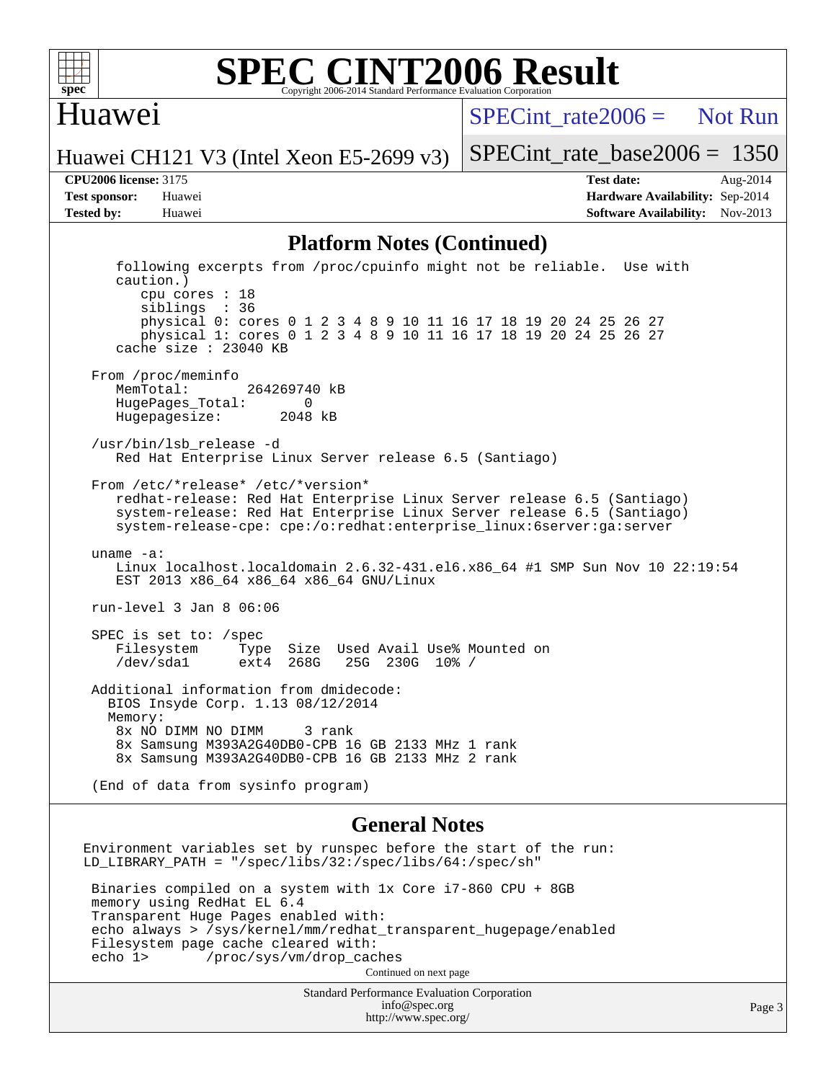

### **[SPEC CINT2006 Result](http://www.spec.org/auto/cpu2006/Docs/result-fields.html#SPECCINT2006Result)** Copyright 2006-2014 Standard Performance Evaluation C

## Huawei

 $SPECTnt_rate2006 = Not Run$ 

Huawei CH121 V3 (Intel Xeon E5-2699 v3)

[SPECint\\_rate\\_base2006 =](http://www.spec.org/auto/cpu2006/Docs/result-fields.html#SPECintratebase2006) 1350

**[CPU2006 license:](http://www.spec.org/auto/cpu2006/Docs/result-fields.html#CPU2006license)** 3175 **[Test date:](http://www.spec.org/auto/cpu2006/Docs/result-fields.html#Testdate)** Aug-2014 **[Test sponsor:](http://www.spec.org/auto/cpu2006/Docs/result-fields.html#Testsponsor)** Huawei **[Hardware Availability:](http://www.spec.org/auto/cpu2006/Docs/result-fields.html#HardwareAvailability)** Sep-2014 **[Tested by:](http://www.spec.org/auto/cpu2006/Docs/result-fields.html#Testedby)** Huawei **[Software Availability:](http://www.spec.org/auto/cpu2006/Docs/result-fields.html#SoftwareAvailability)** Nov-2013

### **[Platform Notes \(Continued\)](http://www.spec.org/auto/cpu2006/Docs/result-fields.html#PlatformNotes)**

 following excerpts from /proc/cpuinfo might not be reliable. Use with caution.) cpu cores : 18 siblings : 36 physical 0: cores 0 1 2 3 4 8 9 10 11 16 17 18 19 20 24 25 26 27 physical 1: cores 0 1 2 3 4 8 9 10 11 16 17 18 19 20 24 25 26 27 cache size : 23040 KB From /proc/meminfo MemTotal: 264269740 kB HugePages\_Total: 0 Hugepagesize: 2048 kB /usr/bin/lsb\_release -d Red Hat Enterprise Linux Server release 6.5 (Santiago) From /etc/\*release\* /etc/\*version\* redhat-release: Red Hat Enterprise Linux Server release 6.5 (Santiago) system-release: Red Hat Enterprise Linux Server release 6.5 (Santiago) system-release-cpe: cpe:/o:redhat:enterprise\_linux:6server:ga:server uname -a: Linux localhost.localdomain 2.6.32-431.el6.x86\_64 #1 SMP Sun Nov 10 22:19:54 EST 2013 x86\_64 x86\_64 x86\_64 GNU/Linux run-level 3 Jan 8 06:06 SPEC is set to: /spec<br>Filesystem Type Type Size Used Avail Use% Mounted on /dev/sda1 ext4 268G 25G 230G 10% / Additional information from dmidecode: BIOS Insyde Corp. 1.13 08/12/2014 Memory: 8x NO DIMM NO DIMM 3 rank 8x Samsung M393A2G40DB0-CPB 16 GB 2133 MHz 1 rank 8x Samsung M393A2G40DB0-CPB 16 GB 2133 MHz 2 rank (End of data from sysinfo program)

#### **[General Notes](http://www.spec.org/auto/cpu2006/Docs/result-fields.html#GeneralNotes)**

Environment variables set by runspec before the start of the run: LD\_LIBRARY\_PATH = "/spec/libs/32:/spec/libs/64:/spec/sh" Binaries compiled on a system with 1x Core i7-860 CPU + 8GB memory using RedHat EL 6.4 Transparent Huge Pages enabled with: echo always > /sys/kernel/mm/redhat\_transparent\_hugepage/enabled Filesystem page cache cleared with: echo 1> /proc/sys/vm/drop\_caches Continued on next page

> Standard Performance Evaluation Corporation [info@spec.org](mailto:info@spec.org) <http://www.spec.org/>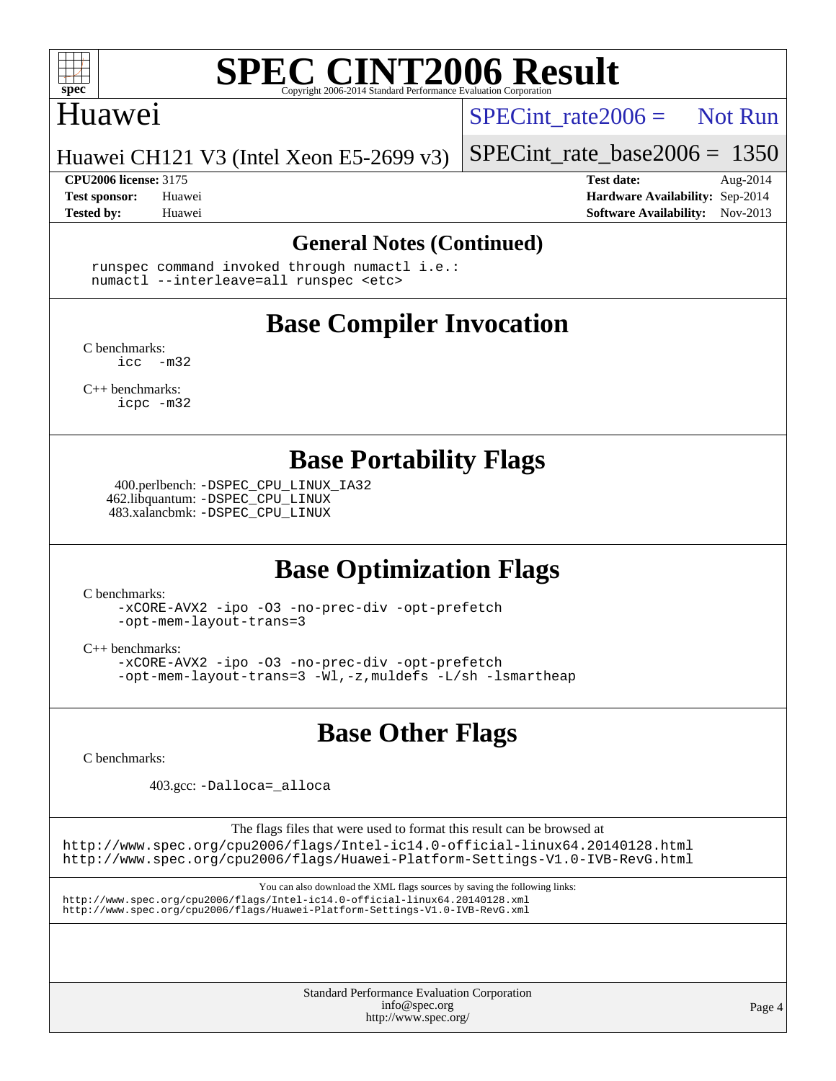

# **[SPEC CINT2006 Result](http://www.spec.org/auto/cpu2006/Docs/result-fields.html#SPECCINT2006Result)**

## Huawei

SPECint rate  $2006 =$  Not Run

Huawei CH121 V3 (Intel Xeon E5-2699 v3)

**[CPU2006 license:](http://www.spec.org/auto/cpu2006/Docs/result-fields.html#CPU2006license)** 3175 **[Test date:](http://www.spec.org/auto/cpu2006/Docs/result-fields.html#Testdate)** Aug-2014

[SPECint\\_rate\\_base2006 =](http://www.spec.org/auto/cpu2006/Docs/result-fields.html#SPECintratebase2006) 1350

**[Test sponsor:](http://www.spec.org/auto/cpu2006/Docs/result-fields.html#Testsponsor)** Huawei **[Hardware Availability:](http://www.spec.org/auto/cpu2006/Docs/result-fields.html#HardwareAvailability)** Sep-2014 **[Tested by:](http://www.spec.org/auto/cpu2006/Docs/result-fields.html#Testedby)** Huawei **[Software Availability:](http://www.spec.org/auto/cpu2006/Docs/result-fields.html#SoftwareAvailability)** Nov-2013

### **[General Notes \(Continued\)](http://www.spec.org/auto/cpu2006/Docs/result-fields.html#GeneralNotes)**

 runspec command invoked through numactl i.e.: numactl --interleave=all runspec <etc>

# **[Base Compiler Invocation](http://www.spec.org/auto/cpu2006/Docs/result-fields.html#BaseCompilerInvocation)**

[C benchmarks](http://www.spec.org/auto/cpu2006/Docs/result-fields.html#Cbenchmarks):  $inc -m32$ 

[C++ benchmarks:](http://www.spec.org/auto/cpu2006/Docs/result-fields.html#CXXbenchmarks) [icpc -m32](http://www.spec.org/cpu2006/results/res2014q3/cpu2006-20140826-31050.flags.html#user_CXXbase_intel_icpc_4e5a5ef1a53fd332b3c49e69c3330699)

# **[Base Portability Flags](http://www.spec.org/auto/cpu2006/Docs/result-fields.html#BasePortabilityFlags)**

 400.perlbench: [-DSPEC\\_CPU\\_LINUX\\_IA32](http://www.spec.org/cpu2006/results/res2014q3/cpu2006-20140826-31050.flags.html#b400.perlbench_baseCPORTABILITY_DSPEC_CPU_LINUX_IA32) 462.libquantum: [-DSPEC\\_CPU\\_LINUX](http://www.spec.org/cpu2006/results/res2014q3/cpu2006-20140826-31050.flags.html#b462.libquantum_baseCPORTABILITY_DSPEC_CPU_LINUX) 483.xalancbmk: [-DSPEC\\_CPU\\_LINUX](http://www.spec.org/cpu2006/results/res2014q3/cpu2006-20140826-31050.flags.html#b483.xalancbmk_baseCXXPORTABILITY_DSPEC_CPU_LINUX)

# **[Base Optimization Flags](http://www.spec.org/auto/cpu2006/Docs/result-fields.html#BaseOptimizationFlags)**

[C benchmarks](http://www.spec.org/auto/cpu2006/Docs/result-fields.html#Cbenchmarks):

[-xCORE-AVX2](http://www.spec.org/cpu2006/results/res2014q3/cpu2006-20140826-31050.flags.html#user_CCbase_f-xAVX2_5f5fc0cbe2c9f62c816d3e45806c70d7) [-ipo](http://www.spec.org/cpu2006/results/res2014q3/cpu2006-20140826-31050.flags.html#user_CCbase_f-ipo) [-O3](http://www.spec.org/cpu2006/results/res2014q3/cpu2006-20140826-31050.flags.html#user_CCbase_f-O3) [-no-prec-div](http://www.spec.org/cpu2006/results/res2014q3/cpu2006-20140826-31050.flags.html#user_CCbase_f-no-prec-div) [-opt-prefetch](http://www.spec.org/cpu2006/results/res2014q3/cpu2006-20140826-31050.flags.html#user_CCbase_f-opt-prefetch) [-opt-mem-layout-trans=3](http://www.spec.org/cpu2006/results/res2014q3/cpu2006-20140826-31050.flags.html#user_CCbase_f-opt-mem-layout-trans_a7b82ad4bd7abf52556d4961a2ae94d5)

[C++ benchmarks:](http://www.spec.org/auto/cpu2006/Docs/result-fields.html#CXXbenchmarks)

[-xCORE-AVX2](http://www.spec.org/cpu2006/results/res2014q3/cpu2006-20140826-31050.flags.html#user_CXXbase_f-xAVX2_5f5fc0cbe2c9f62c816d3e45806c70d7) [-ipo](http://www.spec.org/cpu2006/results/res2014q3/cpu2006-20140826-31050.flags.html#user_CXXbase_f-ipo) [-O3](http://www.spec.org/cpu2006/results/res2014q3/cpu2006-20140826-31050.flags.html#user_CXXbase_f-O3) [-no-prec-div](http://www.spec.org/cpu2006/results/res2014q3/cpu2006-20140826-31050.flags.html#user_CXXbase_f-no-prec-div) [-opt-prefetch](http://www.spec.org/cpu2006/results/res2014q3/cpu2006-20140826-31050.flags.html#user_CXXbase_f-opt-prefetch) [-opt-mem-layout-trans=3](http://www.spec.org/cpu2006/results/res2014q3/cpu2006-20140826-31050.flags.html#user_CXXbase_f-opt-mem-layout-trans_a7b82ad4bd7abf52556d4961a2ae94d5) [-Wl,-z,muldefs](http://www.spec.org/cpu2006/results/res2014q3/cpu2006-20140826-31050.flags.html#user_CXXbase_link_force_multiple1_74079c344b956b9658436fd1b6dd3a8a) [-L/sh -lsmartheap](http://www.spec.org/cpu2006/results/res2014q3/cpu2006-20140826-31050.flags.html#user_CXXbase_SmartHeap_32f6c82aa1ed9c52345d30cf6e4a0499)

## **[Base Other Flags](http://www.spec.org/auto/cpu2006/Docs/result-fields.html#BaseOtherFlags)**

[C benchmarks](http://www.spec.org/auto/cpu2006/Docs/result-fields.html#Cbenchmarks):

403.gcc: [-Dalloca=\\_alloca](http://www.spec.org/cpu2006/results/res2014q3/cpu2006-20140826-31050.flags.html#b403.gcc_baseEXTRA_CFLAGS_Dalloca_be3056838c12de2578596ca5467af7f3)

The flags files that were used to format this result can be browsed at <http://www.spec.org/cpu2006/flags/Intel-ic14.0-official-linux64.20140128.html> <http://www.spec.org/cpu2006/flags/Huawei-Platform-Settings-V1.0-IVB-RevG.html>

You can also download the XML flags sources by saving the following links: <http://www.spec.org/cpu2006/flags/Intel-ic14.0-official-linux64.20140128.xml> <http://www.spec.org/cpu2006/flags/Huawei-Platform-Settings-V1.0-IVB-RevG.xml>

> Standard Performance Evaluation Corporation [info@spec.org](mailto:info@spec.org) <http://www.spec.org/>

Page 4